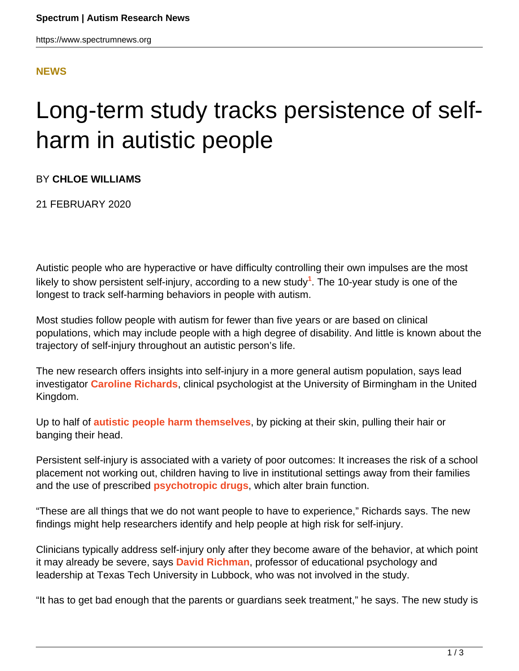## **[NEWS](HTTPS://WWW.SPECTRUMNEWS.ORG/NEWS/)**

# Long-term study tracks persistence of selfharm in autistic people

## BY **CHLOE WILLIAMS**

21 FEBRUARY 2020

Autistic people who are hyperactive or have difficulty controlling their own impulses are the most likely to show persistent self-injury, according to a new study<sup>1</sup>. The 10-year study is one of the longest to track self-harming behaviors in people with autism.

Most studies follow people with autism for fewer than five years or are based on clinical populations, which may include people with a high degree of disability. And little is known about the trajectory of self-injury throughout an autistic person's life.

The new research offers insights into self-injury in a more general autism population, says lead investigator **[Caroline Richards](https://www.birmingham.ac.uk/staff/profiles/psychology/richards-caroline.aspx)**, clinical psychologist at the University of Birmingham in the United Kingdom.

Up to half of **[autistic people harm themselves](https://www.spectrumnews.org/news/many-women-men-with-autism-harm-themselves/)**, by picking at their skin, pulling their hair or banging their head.

Persistent self-injury is associated with a variety of poor outcomes: It increases the risk of a school placement not working out, children having to live in institutional settings away from their families and the use of prescribed **[psychotropic drugs](https://www.spectrumnews.org/news/psychotropic-drugs-frequently-prescribed-autistic-people/)**, which alter brain function.

"These are all things that we do not want people to have to experience," Richards says. The new findings might help researchers identify and help people at high risk for self-injury.

Clinicians typically address self-injury only after they become aware of the behavior, at which point it may already be severe, says **[David Richman](https://www.depts.ttu.edu/education/our-people/Faculty/dave_richman.php)**, professor of educational psychology and leadership at Texas Tech University in Lubbock, who was not involved in the study.

"It has to get bad enough that the parents or guardians seek treatment," he says. The new study is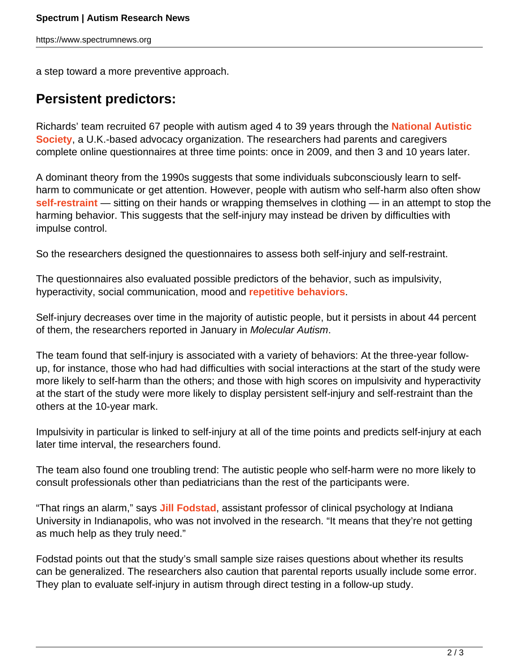a step toward a more preventive approach.

## **Persistent predictors:**

Richards' team recruited 67 people with autism aged 4 to 39 years through the **[National Autistic](https://www.autism.org.uk/get-involved/about-us.aspx) [Society](https://www.autism.org.uk/get-involved/about-us.aspx)**, a U.K.-based advocacy organization. The researchers had parents and caregivers complete online questionnaires at three time points: once in 2009, and then 3 and 10 years later.

A dominant theory from the 1990s suggests that some individuals subconsciously learn to selfharm to communicate or get attention. However, people with autism who self-harm also often show **[self-restraint](https://www.spectrumnews.org/news/pain-impulsivity-may-motivate-self-harm-autism/)** — sitting on their hands or wrapping themselves in clothing — in an attempt to stop the harming behavior. This suggests that the self-injury may instead be driven by difficulties with impulse control.

So the researchers designed the questionnaires to assess both self-injury and self-restraint.

The questionnaires also evaluated possible predictors of the behavior, such as impulsivity, hyperactivity, social communication, mood and **[repetitive behaviors](https://www.spectrumnews.org/news/repetitive-behaviors-and-stimming-in-autism-explained/)**.

Self-injury decreases over time in the majority of autistic people, but it persists in about 44 percent of them, the researchers reported in January in Molecular Autism.

The team found that self-injury is associated with a variety of behaviors: At the three-year followup, for instance, those who had had difficulties with social interactions at the start of the study were more likely to self-harm than the others; and those with high scores on impulsivity and hyperactivity at the start of the study were more likely to display persistent self-injury and self-restraint than the others at the 10-year mark.

Impulsivity in particular is linked to self-injury at all of the time points and predicts self-injury at each later time interval, the researchers found.

The team also found one troubling trend: The autistic people who self-harm were no more likely to consult professionals other than pediatricians than the rest of the participants were.

"That rings an alarm," says **[Jill Fodstad](https://medicine.iu.edu/faculty/22532/fodstad-jill/)**, assistant professor of clinical psychology at Indiana University in Indianapolis, who was not involved in the research. "It means that they're not getting as much help as they truly need."

Fodstad points out that the study's small sample size raises questions about whether its results can be generalized. The researchers also caution that parental reports usually include some error. They plan to evaluate self-injury in autism through direct testing in a follow-up study.